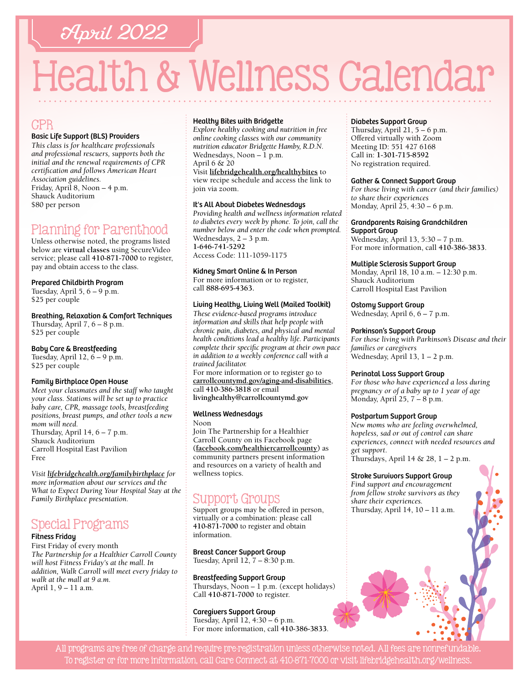# April 2022

# Health & Wellness Calendar

## CPR

#### Basic Life Support (BLS) Providers

*This class is for healthcare professionals and professional rescuers, supports both the initial and the renewal requirements of CPR certification and follows American Heart Association guidelines.*  Friday, April 8, Noon – 4 p.m. Shauck Auditorium \$80 per person

## Planning for Parenthood

Unless otherwise noted, the programs listed below are **virtual classes** using SecureVideo service; please call **[410-871-7000](tel:4108717000)** to register, pay and obtain access to the class.

#### Prepared Childbirth Program

Tuesday, April  $5, 6 - 9$  p.m. \$25 per couple

Breathing, Relaxation & Comfort Techniques Thursday, April  $7, 6 - 8$  p.m.

\$25 per couple

#### Baby Care & Breastfeeding

Tuesday, April  $12, 6 - 9$  p.m. \$25 per couple

#### Family Birthplace Open House

*Meet your classmates and the staff who taught your class. Stations will be set up to practice baby care, CPR, massage tools, breastfeeding positions, breast pumps, and other tools a new mom will need.*  Thursday, April  $14, 6 - 7$  p.m. Shauck Auditorium Carroll Hospital East Pavilion Free

*Visit [lifebridgehealth.org/familybirthplace](http://www.lifebridgehealth.org/familybirthplace) for more information about our services and the What to Expect During Your Hospital Stay at the Family Birthplace presentation.*

# Special Programs

#### Fitness Friday

First Friday of every month *The Partnership for a Healthier Carroll County will host Fitness Friday's at the mall. In addition, Walk Carroll will meet every friday to walk at the mall at 9 a.m.* April 1, 9 – 11 a.m.

#### Healthy Bites with Bridgette

*Explore healthy cooking and nutrition in free online cooking classes with our community nutrition educator Bridgette Hamby, R.D.N.* Wednesdays, Noon  $-1$  p.m. April 6 & 20

Visit **[lifebridgehealth.org/healthybites](https://www.lifebridgehealth.org/Carroll/HealthyBites.aspx)** to view recipe schedule and access the link to join via zoom.

#### It's All About Diabetes Wednesdays

*Providing health and wellness information related to diabetes every week by phone. To join, call the number below and enter the code when prompted.* Wednesdays, 2 – 3 p.m. **[1-646-741-5292](tel:16467415292)** Access Code: 111-1059-1175

#### Kidney Smart Online & In Person

For more information or to register, call **88[8-695-4](tel:8886954363)363.** 

#### Living Healthy, Living Well (Mailed Toolkit)

*These evidence-based programs introduce information and skills that help people with chronic pain, diabetes, and physical and mental health conditions lead a healthy life. Participants complete their specific program at their own pace in addition to a weekly conference call with a trained facilitator.*

For more information or to register go to **[carrollcountymd.gov/aging-and-disabilities](https://www.carrollcountymd.gov/aging-and-disabilities)**, call **[410-386-3818](tel:4103863818)** or email **[livinghealthy@carrollcountymd.gov](mailto:livinghealthy@carrollcountymd.gov)**

#### Wellness Wednesdays

Noon

Join The Partnership for a Healthier Carroll County on its Facebook page **[\(facebook.com/healthiercarrollcounty\)](https://www.facebook.com/HealthierCarrollCounty/)** as community partners present information and resources on a variety of health and wellness topics.

# Support Groups

Support groups may be offered in person, virtually or a combination: please call **[410-871-7000](tel:4108717000)** to register and obtain information.

Breast Cancer Support Group Tuesday, April 12, 7 – 8:30 p.m.

Breastfeeding Support Group Thursdays, Noon – 1 p.m. (except holidays) Call **[410-871-7000](tel:4108717000)** to register.

Caregivers Support Group Tuesday, April 12, 4:30 – 6 p.m. For more information, call **[410-386-3833](tel:4103863833)**.

#### Diabetes Support Group

Thursday, April 21, 5 – 6 p.m. Offered virtually with Zoom Meeting ID: 551 427 6168 Call in: **[1-301-715-8592](tel:13017158592)** No registration required.

#### Gather & Connect Support Group

*For those living with cancer (and their families) to share their experiences*  Monday, April  $25, 4:30 - 6$  p.m.

#### Grandparents Raising Grandchildren

Support Group Wednesday, April 13, 5:30 – 7 p.m. For more information, call **[410-386-3833](tel:4103863833)**.

#### Multiple Sclerosis Support Group

Monday, April 18, 10 a.m. – 12:30 p.m. Shauck Auditorium Carroll Hospital East Pavilion

#### Ostomy Support Group

Wednesday, April 6, 6 – 7 p.m.

#### Parkinson's Support Group

*For those living with Parkinson's Disease and their families or caregivers*  Wednesday, April 13, 1 – 2 p.m.

#### Perinatal Loss Support Group

*For those who have experienced a loss during pregnancy or of a baby up to 1 year of age* Monday, April 25, 7 – 8 p.m.

#### Postpartum Support Group

*New moms who are feeling overwhelmed, hopeless, sad or out of control can share experiences, connect with needed resources and get support*. Thursdays, April 14 &  $28$ ,  $1 - 2$  p.m.

#### Stroke Survivors Support Group

*Find support and encouragement from fellow stroke survivors as they share their experiences.*  Thursday, April 14, 10 – 11 a.m.